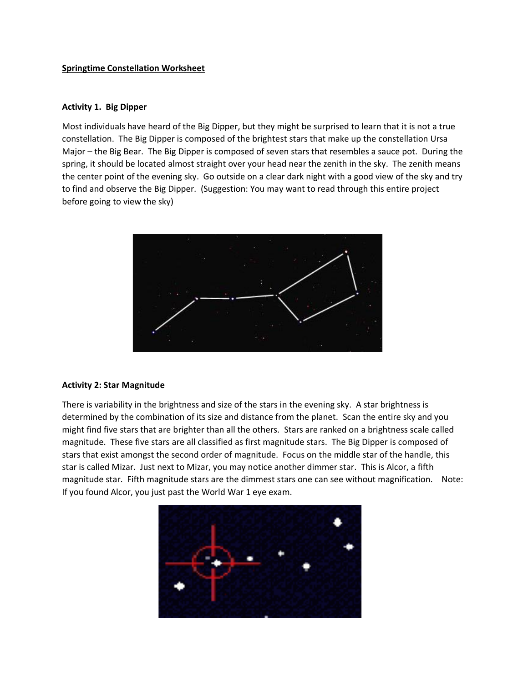## **Springtime Constellation Worksheet**

### **Activity 1. Big Dipper**

Most individuals have heard of the Big Dipper, but they might be surprised to learn that it is not a true constellation. The Big Dipper is composed of the brightest stars that make up the constellation Ursa Major – the Big Bear. The Big Dipper is composed of seven stars that resembles a sauce pot. During the spring, it should be located almost straight over your head near the zenith in the sky. The zenith means the center point of the evening sky. Go outside on a clear dark night with a good view of the sky and try to find and observe the Big Dipper. (Suggestion: You may want to read through this entire project before going to view the sky)



### **Activity 2: Star Magnitude**

There is variability in the brightness and size of the stars in the evening sky. A star brightness is determined by the combination of its size and distance from the planet. Scan the entire sky and you might find five stars that are brighter than all the others. Stars are ranked on a brightness scale called magnitude. These five stars are all classified as first magnitude stars. The Big Dipper is composed of stars that exist amongst the second order of magnitude. Focus on the middle star of the handle, this star is called Mizar. Just next to Mizar, you may notice another dimmer star. This is Alcor, a fifth magnitude star. Fifth magnitude stars are the dimmest stars one can see without magnification. Note: If you found Alcor, you just past the World War 1 eye exam.

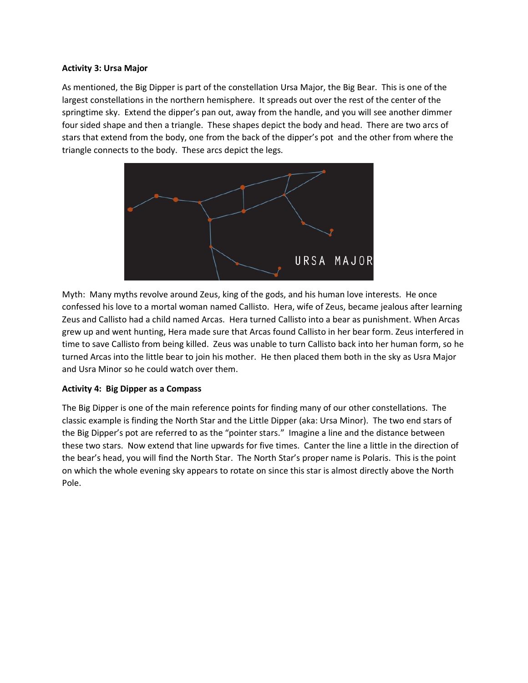## **Activity 3: Ursa Major**

As mentioned, the Big Dipper is part of the constellation Ursa Major, the Big Bear. This is one of the largest constellations in the northern hemisphere. It spreads out over the rest of the center of the springtime sky. Extend the dipper's pan out, away from the handle, and you will see another dimmer four sided shape and then a triangle. These shapes depict the body and head. There are two arcs of stars that extend from the body, one from the back of the dipper's pot and the other from where the triangle connects to the body. These arcs depict the legs.



Myth: Many myths revolve around Zeus, king of the gods, and his human love interests. He once confessed his love to a mortal woman named Callisto. Hera, wife of Zeus, became jealous after learning Zeus and Callisto had a child named Arcas. Hera turned Callisto into a bear as punishment. When Arcas grew up and went hunting, Hera made sure that Arcas found Callisto in her bear form. Zeus interfered in time to save Callisto from being killed. Zeus was unable to turn Callisto back into her human form, so he turned Arcas into the little bear to join his mother. He then placed them both in the sky as Usra Major and Usra Minor so he could watch over them.

# **Activity 4: Big Dipper as a Compass**

The Big Dipper is one of the main reference points for finding many of our other constellations. The classic example is finding the North Star and the Little Dipper (aka: Ursa Minor). The two end stars of the Big Dipper's pot are referred to as the "pointer stars." Imagine a line and the distance between these two stars. Now extend that line upwards for five times. Canter the line a little in the direction of the bear's head, you will find the North Star. The North Star's proper name is Polaris. This is the point on which the whole evening sky appears to rotate on since this star is almost directly above the North Pole.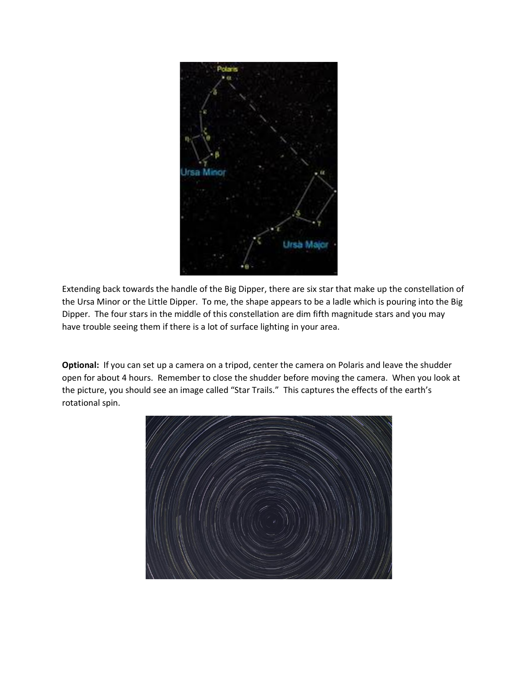

Extending back towards the handle of the Big Dipper, there are six star that make up the constellation of the Ursa Minor or the Little Dipper. To me, the shape appears to be a ladle which is pouring into the Big Dipper. The four stars in the middle of this constellation are dim fifth magnitude stars and you may have trouble seeing them if there is a lot of surface lighting in your area.

**Optional:** If you can set up a camera on a tripod, center the camera on Polaris and leave the shudder open for about 4 hours. Remember to close the shudder before moving the camera. When you look at the picture, you should see an image called "Star Trails." This captures the effects of the earth's rotational spin.

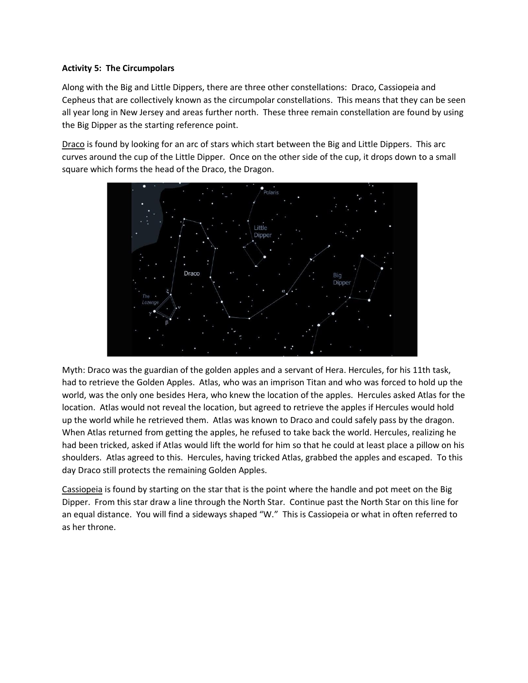# **Activity 5: The Circumpolars**

Along with the Big and Little Dippers, there are three other constellations: Draco, Cassiopeia and Cepheus that are collectively known as the circumpolar constellations. This means that they can be seen all year long in New Jersey and areas further north. These three remain constellation are found by using the Big Dipper as the starting reference point.

Draco is found by looking for an arc of stars which start between the Big and Little Dippers. This arc curves around the cup of the Little Dipper. Once on the other side of the cup, it drops down to a small square which forms the head of the Draco, the Dragon.



Myth: Draco was the guardian of the golden apples and a servant of Hera. Hercules, for his 11th task, had to retrieve the Golden Apples. Atlas, who was an imprison Titan and who was forced to hold up the world, was the only one besides Hera, who knew the location of the apples. Hercules asked Atlas for the location. Atlas would not reveal the location, but agreed to retrieve the apples if Hercules would hold up the world while he retrieved them. Atlas was known to Draco and could safely pass by the dragon. When Atlas returned from getting the apples, he refused to take back the world. Hercules, realizing he had been tricked, asked if Atlas would lift the world for him so that he could at least place a pillow on his shoulders. Atlas agreed to this. Hercules, having tricked Atlas, grabbed the apples and escaped. To this day Draco still protects the remaining Golden Apples.

Cassiopeia is found by starting on the star that is the point where the handle and pot meet on the Big Dipper. From this star draw a line through the North Star. Continue past the North Star on this line for an equal distance. You will find a sideways shaped "W." This is Cassiopeia or what in often referred to as her throne.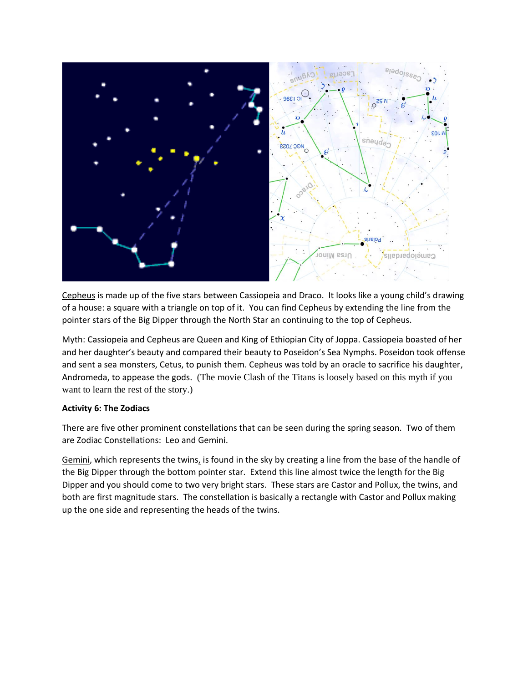

Cepheus is made up of the five stars between Cassiopeia and Draco. It looks like a young child's drawing of a house: a square with a triangle on top of it. You can find Cepheus by extending the line from the pointer stars of the Big Dipper through the North Star an continuing to the top of Cepheus.

Myth: Cassiopeia and Cepheus are Queen and King of Ethiopian City of Joppa. Cassiopeia boasted of her and her daughter's beauty and compared their beauty to Poseidon's Sea Nymphs. Poseidon took offense and sent a sea monsters, Cetus, to punish them. Cepheus was told by an oracle to sacrifice his daughter, Andromeda, to appease the gods. (The movie Clash of the Titans is loosely based on this myth if you want to learn the rest of the story.)

# **Activity 6: The Zodiacs**

There are five other prominent constellations that can be seen during the spring season. Two of them are Zodiac Constellations: Leo and Gemini.

Gemini, which represents the twins, is found in the sky by creating a line from the base of the handle of the Big Dipper through the bottom pointer star. Extend this line almost twice the length for the Big Dipper and you should come to two very bright stars. These stars are Castor and Pollux, the twins, and both are first magnitude stars. The constellation is basically a rectangle with Castor and Pollux making up the one side and representing the heads of the twins.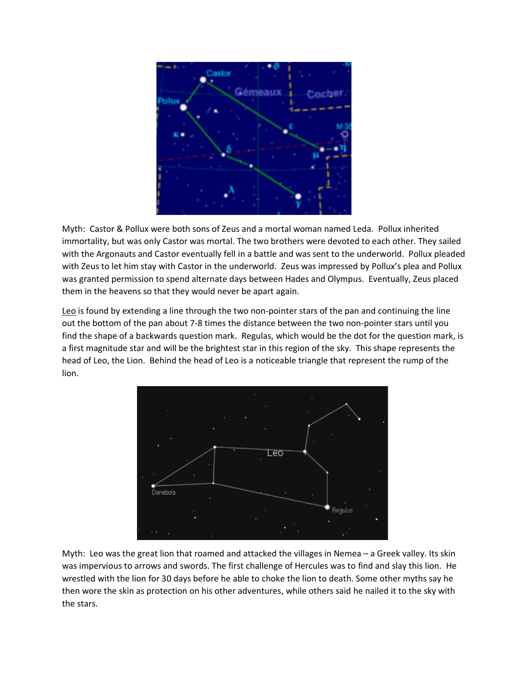

Myth: Castor & Pollux were both sons of Zeus and a mortal woman named Leda. Pollux inherited immortality, but was only Castor was mortal. The two brothers were devoted to each other. They sailed with the Argonauts and Castor eventually fell in a battle and was sent to the underworld. Pollux pleaded with Zeus to let him stay with Castor in the underworld. Zeus was impressed by Pollux's plea and Pollux was granted permission to spend alternate days between Hades and Olympus. Eventually, Zeus placed them in the heavens so that they would never be apart again.

Leo is found by extending a line through the two non-pointer stars of the pan and continuing the line out the bottom of the pan about 7-8 times the distance between the two non-pointer stars until you find the shape of a backwards question mark. Regulas, which would be the dot for the question mark, is a first magnitude star and will be the brightest star in this region of the sky. This shape represents the head of Leo, the Lion. Behind the head of Leo is a noticeable triangle that represent the rump of the lion.



Myth: Leo was the great lion that roamed and attacked the villages in Nemea – a Greek valley. Its skin was impervious to arrows and swords. The first challenge of Hercules was to find and slay this lion. He wrestled with the lion for 30 days before he able to choke the lion to death. Some other myths say he then wore the skin as protection on his other adventures, while others said he nailed it to the sky with the stars.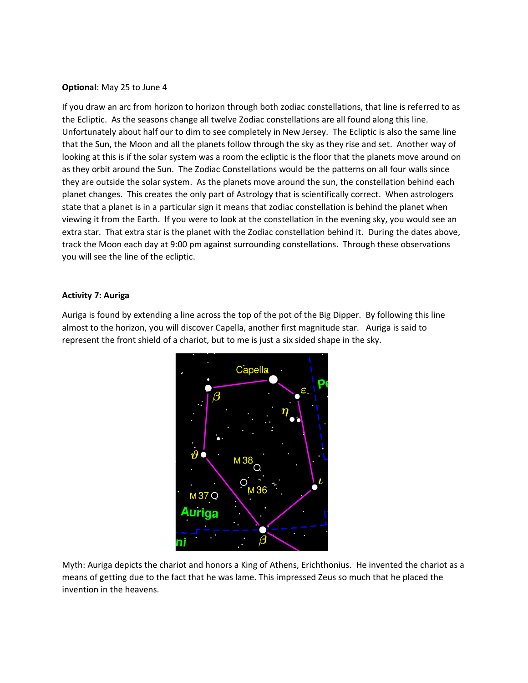# **Optional**: May 25 to June 4

If you draw an arc from horizon to horizon through both zodiac constellations, that line is referred to as the Ecliptic. As the seasons change all twelve Zodiac constellations are all found along this line. Unfortunately about half our to dim to see completely in New Jersey. The Ecliptic is also the same line that the Sun, the Moon and all the planets follow through the sky as they rise and set. Another way of looking at this is if the solar system was a room the ecliptic is the floor that the planets move around on as they orbit around the Sun. The Zodiac Constellations would be the patterns on all four walls since they are outside the solar system. As the planets move around the sun, the constellation behind each planet changes. This creates the only part of Astrology that is scientifically correct. When astrologers state that a planet is in a particular sign it means that zodiac constellation is behind the planet when viewing it from the Earth. If you were to look at the constellation in the evening sky, you would see an extra star. That extra star is the planet with the Zodiac constellation behind it. During the dates above, track the Moon each day at 9:00 pm against surrounding constellations. Through these observations you will see the line of the ecliptic.

### **Activity 7: Auriga**

Auriga is found by extending a line across the top of the pot of the Big Dipper. By following this line almost to the horizon, you will discover Capella, another first magnitude star. Auriga is said to represent the front shield of a chariot, but to me is just a six sided shape in the sky.



Myth: Auriga depicts the chariot and honors a King of Athens, Erichthonius. He invented the chariot as a means of getting due to the fact that he was lame. This impressed Zeus so much that he placed the invention in the heavens.